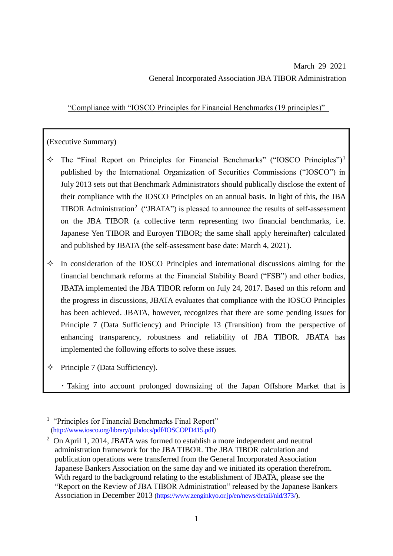"Compliance with "IOSCO Principles for Financial Benchmarks (19 principles)"

# (Executive Summary)

- $\div$  The "Final Report on Principles for Financial Benchmarks" ("IOSCO Principles")<sup>1</sup> published by the International Organization of Securities Commissions ("IOSCO") in July 2013 sets out that Benchmark Administrators should publically disclose the extent of their compliance with the IOSCO Principles on an annual basis. In light of this, the JBA TIBOR Administration<sup>2</sup> ("JBATA") is pleased to announce the results of self-assessment on the JBA TIBOR (a collective term representing two financial benchmarks, i.e. Japanese Yen TIBOR and Euroyen TIBOR; the same shall apply hereinafter) calculated and published by JBATA (the self-assessment base date: March 4, 2021).
- $\Diamond$  In consideration of the IOSCO Principles and international discussions aiming for the financial benchmark reforms at the Financial Stability Board ("FSB") and other bodies, JBATA implemented the JBA TIBOR reform on July 24, 2017. Based on this reform and the progress in discussions, JBATA evaluates that compliance with the IOSCO Principles has been achieved. JBATA, however, recognizes that there are some pending issues for Principle 7 (Data Sufficiency) and Principle 13 (Transition) from the perspective of enhancing transparency, robustness and reliability of JBA TIBOR. JBATA has implemented the following efforts to solve these issues.
- $\Diamond$  Principle 7 (Data Sufficiency).

 $\overline{a}$ 

・Taking into account prolonged downsizing of the Japan Offshore Market that is

<sup>&</sup>lt;sup>1</sup> "Principles for Financial Benchmarks Final Report" [\(http://www.iosco.org/library/pubdocs/pdf/IOSCOPD415.pdf\)](http://www.iosco.org/library/pubdocs/pdf/IOSCOPD415.pdf)

<sup>&</sup>lt;sup>2</sup> On April 1, 2014, JBATA was formed to establish a more independent and neutral administration framework for the JBA TIBOR. The JBA TIBOR calculation and publication operations were transferred from the General Incorporated Association Japanese Bankers Association on the same day and we initiated its operation therefrom. With regard to the background relating to the establishment of JBATA, please see the "Report on the Review of JBA TIBOR Administration" released by the Japanese Bankers Association in December 2013 (https://www.zenginkyo.or.jp/en/news/detail/nid/373/).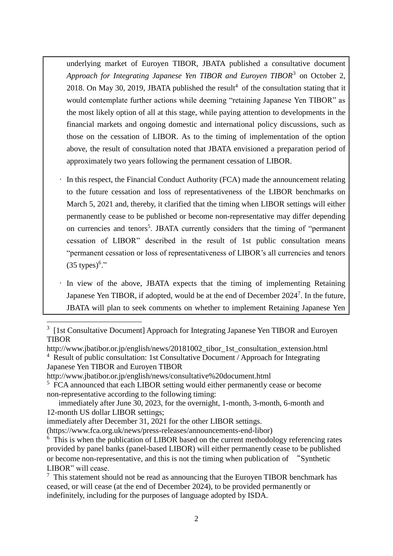underlying market of Euroyen TIBOR, JBATA published a consultative document Approach for Integrating Japanese Yen TIBOR and Euroyen TIBOR<sup>3</sup> on October 2, 2018. On May 30, 2019, JBATA published the result<sup>4</sup> of the consultation stating that it would contemplate further actions while deeming "retaining Japanese Yen TIBOR" as the most likely option of all at this stage, while paying attention to developments in the financial markets and ongoing domestic and international policy discussions, such as those on the cessation of LIBOR. As to the timing of implementation of the option above, the result of consultation noted that JBATA envisioned a preparation period of approximately two years following the permanent cessation of LIBOR.

- In this respect, the Financial Conduct Authority (FCA) made the announcement relating to the future cessation and loss of representativeness of the LIBOR benchmarks on March 5, 2021 and, thereby, it clarified that the timing when LIBOR settings will either permanently cease to be published or become non-representative may differ depending on currencies and tenors 5 . JBATA currently considers that the timing of "permanent cessation of LIBOR" described in the result of 1st public consultation means "permanent cessation or loss of representativeness of LIBOR's all currencies and tenors  $(35 \text{ types})^6$ ."
- In view of the above, JBATA expects that the timing of implementing Retaining Japanese Yen TIBOR, if adopted, would be at the end of December 2024<sup>7</sup>. In the future, JBATA will plan to seek comments on whether to implement Retaining Japanese Yen

http://www.jbatibor.or.jp/english/news/20181002\_tibor\_1st\_consultation\_extension.html <sup>4</sup> Result of public consultation: 1st Consultative Document / Approach for Integrating Japanese Yen TIBOR and Euroyen TIBOR

http://www.jbatibor.or.jp/english/news/consultative%20document.html

 $\overline{a}$ 

<sup>5</sup> FCA announced that each LIBOR setting would either permanently cease or become non-representative according to the following timing:

 immediately after June 30, 2023, for the overnight, 1-month, 3-month, 6-month and 12-month US dollar LIBOR settings;

immediately after December 31, 2021 for the other LIBOR settings.

(https://www.fca.org.uk/news/press-releases/announcements-end-libor)

 $6$  This is when the publication of LIBOR based on the current methodology referencing rates provided by panel banks (panel-based LIBOR) will either permanently cease to be published or become non-representative, and this is not the timing when publication of "Synthetic LIBOR" will cease.

 $<sup>7</sup>$  This statement should not be read as announcing that the Euroyen TIBOR benchmark has</sup> ceased, or will cease (at the end of December 2024), to be provided permanently or indefinitely, including for the purposes of language adopted by ISDA.

<sup>3</sup> [1st Consultative Document] Approach for Integrating Japanese Yen TIBOR and Euroyen **TIBOR**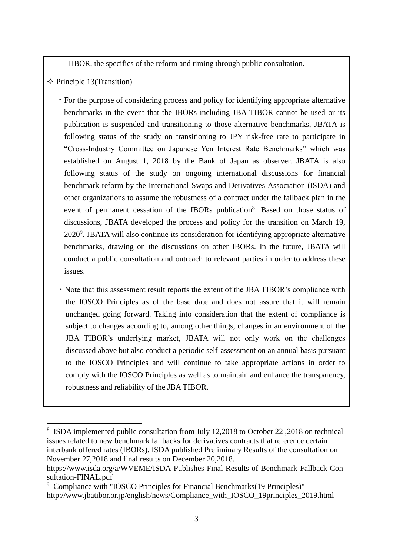TIBOR, the specifics of the reform and timing through public consultation.

 $\Diamond$  Principle 13(Transition)

- ・For the purpose of considering process and policy for identifying appropriate alternative benchmarks in the event that the IBORs including JBA TIBOR cannot be used or its publication is suspended and transitioning to those alternative benchmarks, JBATA is following status of the study on transitioning to JPY risk-free rate to participate in "Cross-Industry Committee on Japanese Yen Interest Rate Benchmarks" which was established on August 1, 2018 by the Bank of Japan as observer. JBATA is also following status of the study on ongoing international discussions for financial benchmark reform by the International Swaps and Derivatives Association (ISDA) and other organizations to assume the robustness of a contract under the fallback plan in the event of permanent cessation of the IBORs publication<sup>8</sup>. Based on those status of discussions, JBATA developed the process and policy for the transition on March 19, 2020<sup>9</sup>. JBATA will also continue its consideration for identifying appropriate alternative benchmarks, drawing on the discussions on other IBORs. In the future, JBATA will conduct a public consultation and outreach to relevant parties in order to address these issues.
- $\Box$   $\cdot$  Note that this assessment result reports the extent of the JBA TIBOR's compliance with the IOSCO Principles as of the base date and does not assure that it will remain unchanged going forward. Taking into consideration that the extent of compliance is subject to changes according to, among other things, changes in an environment of the JBA TIBOR's underlying market, JBATA will not only work on the challenges discussed above but also conduct a periodic self-assessment on an annual basis pursuant to the IOSCO Principles and will continue to take appropriate actions in order to comply with the IOSCO Principles as well as to maintain and enhance the transparency, robustness and reliability of the JBA TIBOR.

 $\overline{a}$ <sup>8</sup> ISDA implemented public consultation from July 12,2018 to October 22,2018 on technical issues related to new benchmark fallbacks for derivatives contracts that reference certain interbank offered rates (IBORs). ISDA published Preliminary Results of the consultation on November 27,2018 and final results on December 20,2018.

https://www.isda.org/a/WVEME/ISDA-Publishes-Final-Results-of-Benchmark-Fallback-Con sultation-FINAL.pdf

<sup>9</sup> Compliance with "IOSCO Principles for Financial Benchmarks(19 Principles)" http://www.jbatibor.or.jp/english/news/Compliance\_with\_IOSCO\_19principles\_2019.html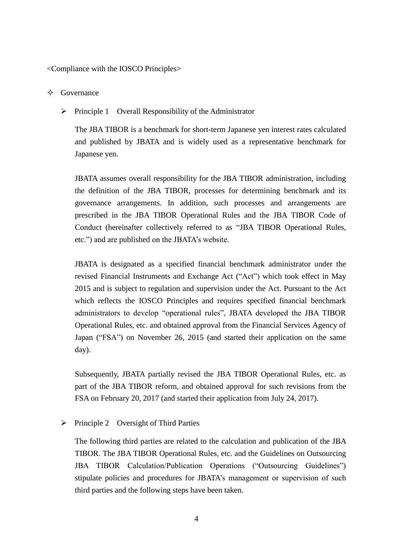<Compliance with the IOSCO Principles>

- $\diamond$  Governance
	- $\triangleright$  Principle 1 Overall Responsibility of the Administrator

The JBA TIBOR is a benchmark for short-term Japanese yen interest rates calculated and published by JBATA and is widely used as a representative benchmark for Japanese yen.

JBATA assumes overall responsibility for the JBA TIBOR administration, including the definition of the JBA TIBOR, processes for determining benchmark and its governance arrangements. In addition, such processes and arrangements are prescribed in the JBA TIBOR Operational Rules and the JBA TIBOR Code of Conduct (hereinafter collectively referred to as "JBA TIBOR Operational Rules, etc.") and are published on the JBATA's website.

JBATA is designated as a specified financial benchmark administrator under the revised Financial Instruments and Exchange Act ("Act") which took effect in May 2015 and is subject to regulation and supervision under the Act. Pursuant to the Act which reflects the IOSCO Principles and requires specified financial benchmark administrators to develop "operational rules", JBATA developed the JBA TIBOR Operational Rules, etc. and obtained approval from the Financial Services Agency of Japan ("FSA") on November 26, 2015 (and started their application on the same day).

Subsequently, JBATA partially revised the JBA TIBOR Operational Rules, etc. as part of the JBA TIBOR reform, and obtained approval for such revisions from the FSA on February 20, 2017 (and started their application from July 24, 2017).

 $\triangleright$  Principle 2 Oversight of Third Parties

The following third parties are related to the calculation and publication of the JBA TIBOR. The JBA TIBOR Operational Rules, etc. and the Guidelines on Outsourcing JBA TIBOR Calculation/Publication Operations ("Outsourcing Guidelines") stipulate policies and procedures for JBATA's management or supervision of such third parties and the following steps have been taken.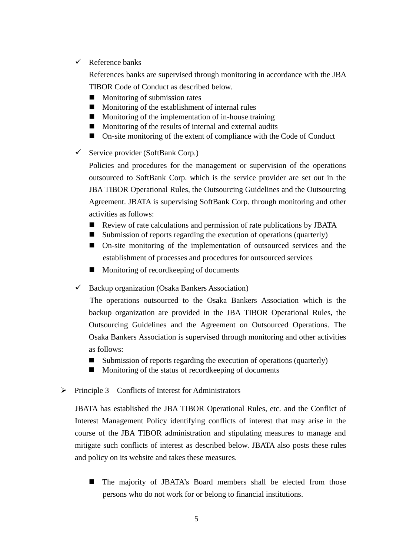$\checkmark$  Reference banks

References banks are supervised through monitoring in accordance with the JBA TIBOR Code of Conduct as described below.

- $\blacksquare$  Monitoring of submission rates
- **Monitoring of the establishment of internal rules**
- $\blacksquare$  Monitoring of the implementation of in-house training
- $\blacksquare$  Monitoring of the results of internal and external audits
- On-site monitoring of the extent of compliance with the Code of Conduct
- $\checkmark$  Service provider (SoftBank Corp.)

Policies and procedures for the management or supervision of the operations outsourced to SoftBank Corp. which is the service provider are set out in the JBA TIBOR Operational Rules, the Outsourcing Guidelines and the Outsourcing Agreement. JBATA is supervising SoftBank Corp. through monitoring and other activities as follows:

- Review of rate calculations and permission of rate publications by JBATA
- $\blacksquare$  Submission of reports regarding the execution of operations (quarterly)
- On-site monitoring of the implementation of outsourced services and the establishment of processes and procedures for outsourced services
- **Monitoring of record keeping of documents**
- $\checkmark$  Backup organization (Osaka Bankers Association)

 The operations outsourced to the Osaka Bankers Association which is the backup organization are provided in the JBA TIBOR Operational Rules, the Outsourcing Guidelines and the Agreement on Outsourced Operations. The Osaka Bankers Association is supervised through monitoring and other activities as follows:

- Submission of reports regarding the execution of operations (quarterly)
- **Monitoring of the status of recordkeeping of documents**
- $\triangleright$  Principle 3 Conflicts of Interest for Administrators

JBATA has established the JBA TIBOR Operational Rules, etc. and the Conflict of Interest Management Policy identifying conflicts of interest that may arise in the course of the JBA TIBOR administration and stipulating measures to manage and mitigate such conflicts of interest as described below. JBATA also posts these rules and policy on its website and takes these measures.

 The majority of JBATA's Board members shall be elected from those persons who do not work for or belong to financial institutions.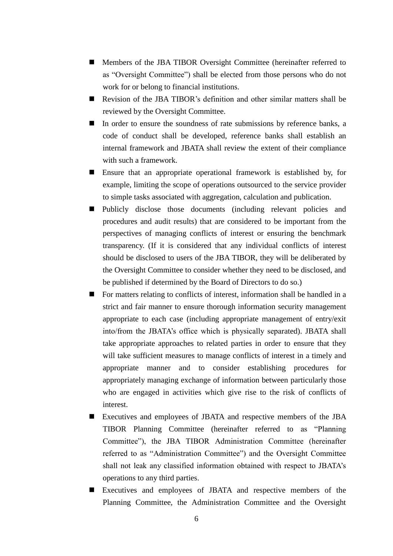- Members of the JBA TIBOR Oversight Committee (hereinafter referred to as "Oversight Committee") shall be elected from those persons who do not work for or belong to financial institutions.
- Revision of the JBA TIBOR's definition and other similar matters shall be reviewed by the Oversight Committee.
- In order to ensure the soundness of rate submissions by reference banks, a code of conduct shall be developed, reference banks shall establish an internal framework and JBATA shall review the extent of their compliance with such a framework.
- Ensure that an appropriate operational framework is established by, for example, limiting the scope of operations outsourced to the service provider to simple tasks associated with aggregation, calculation and publication.
- Publicly disclose those documents (including relevant policies and procedures and audit results) that are considered to be important from the perspectives of managing conflicts of interest or ensuring the benchmark transparency. (If it is considered that any individual conflicts of interest should be disclosed to users of the JBA TIBOR, they will be deliberated by the Oversight Committee to consider whether they need to be disclosed, and be published if determined by the Board of Directors to do so.)
- For matters relating to conflicts of interest, information shall be handled in a strict and fair manner to ensure thorough information security management appropriate to each case (including appropriate management of entry/exit into/from the JBATA's office which is physically separated). JBATA shall take appropriate approaches to related parties in order to ensure that they will take sufficient measures to manage conflicts of interest in a timely and appropriate manner and to consider establishing procedures for appropriately managing exchange of information between particularly those who are engaged in activities which give rise to the risk of conflicts of interest.
- Executives and employees of JBATA and respective members of the JBA TIBOR Planning Committee (hereinafter referred to as "Planning Committee"), the JBA TIBOR Administration Committee (hereinafter referred to as "Administration Committee") and the Oversight Committee shall not leak any classified information obtained with respect to JBATA's operations to any third parties.
- Executives and employees of JBATA and respective members of the Planning Committee, the Administration Committee and the Oversight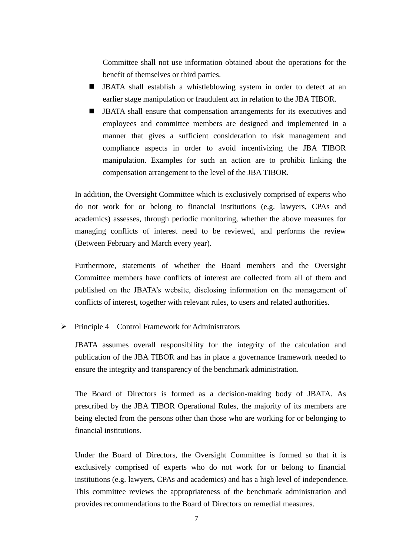Committee shall not use information obtained about the operations for the benefit of themselves or third parties.

- JBATA shall establish a whistleblowing system in order to detect at an earlier stage manipulation or fraudulent act in relation to the JBA TIBOR.
- JBATA shall ensure that compensation arrangements for its executives and employees and committee members are designed and implemented in a manner that gives a sufficient consideration to risk management and compliance aspects in order to avoid incentivizing the JBA TIBOR manipulation. Examples for such an action are to prohibit linking the compensation arrangement to the level of the JBA TIBOR.

In addition, the Oversight Committee which is exclusively comprised of experts who do not work for or belong to financial institutions (e.g. lawyers, CPAs and academics) assesses, through periodic monitoring, whether the above measures for managing conflicts of interest need to be reviewed, and performs the review (Between February and March every year).

Furthermore, statements of whether the Board members and the Oversight Committee members have conflicts of interest are collected from all of them and published on the JBATA's website, disclosing information on the management of conflicts of interest, together with relevant rules, to users and related authorities.

 $\triangleright$  Principle 4 Control Framework for Administrators

JBATA assumes overall responsibility for the integrity of the calculation and publication of the JBA TIBOR and has in place a governance framework needed to ensure the integrity and transparency of the benchmark administration.

The Board of Directors is formed as a decision-making body of JBATA. As prescribed by the JBA TIBOR Operational Rules, the majority of its members are being elected from the persons other than those who are working for or belonging to financial institutions.

Under the Board of Directors, the Oversight Committee is formed so that it is exclusively comprised of experts who do not work for or belong to financial institutions (e.g. lawyers, CPAs and academics) and has a high level of independence. This committee reviews the appropriateness of the benchmark administration and provides recommendations to the Board of Directors on remedial measures.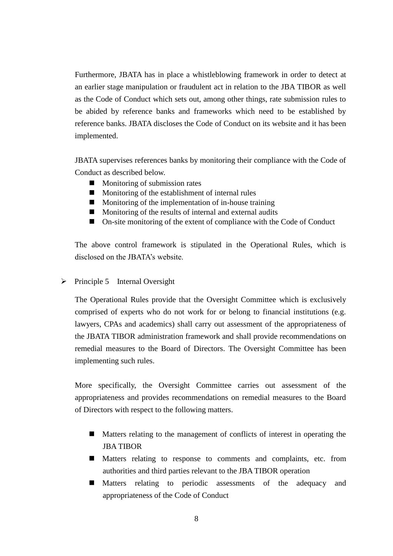Furthermore, JBATA has in place a whistleblowing framework in order to detect at an earlier stage manipulation or fraudulent act in relation to the JBA TIBOR as well as the Code of Conduct which sets out, among other things, rate submission rules to be abided by reference banks and frameworks which need to be established by reference banks. JBATA discloses the Code of Conduct on its website and it has been implemented.

JBATA supervises references banks by monitoring their compliance with the Code of Conduct as described below.

- $\blacksquare$  Monitoring of submission rates
- **Monitoring of the establishment of internal rules**
- $\blacksquare$  Monitoring of the implementation of in-house training
- **Monitoring of the results of internal and external audits**
- On-site monitoring of the extent of compliance with the Code of Conduct

The above control framework is stipulated in the Operational Rules, which is disclosed on the JBATA's website.

 $\triangleright$  Principle 5 Internal Oversight

The Operational Rules provide that the Oversight Committee which is exclusively comprised of experts who do not work for or belong to financial institutions (e.g. lawyers, CPAs and academics) shall carry out assessment of the appropriateness of the JBATA TIBOR administration framework and shall provide recommendations on remedial measures to the Board of Directors. The Oversight Committee has been implementing such rules.

More specifically, the Oversight Committee carries out assessment of the appropriateness and provides recommendations on remedial measures to the Board of Directors with respect to the following matters.

- Matters relating to the management of conflicts of interest in operating the JBA TIBOR
- Matters relating to response to comments and complaints, etc. from authorities and third parties relevant to the JBA TIBOR operation
- Matters relating to periodic assessments of the adequacy and appropriateness of the Code of Conduct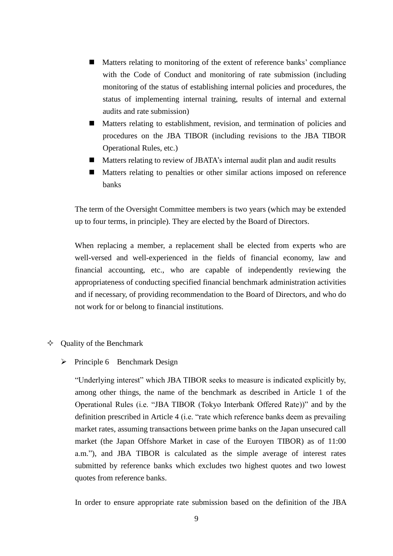- Matters relating to monitoring of the extent of reference banks' compliance with the Code of Conduct and monitoring of rate submission (including monitoring of the status of establishing internal policies and procedures, the status of implementing internal training, results of internal and external audits and rate submission)
- Matters relating to establishment, revision, and termination of policies and procedures on the JBA TIBOR (including revisions to the JBA TIBOR Operational Rules, etc.)
- Matters relating to review of JBATA's internal audit plan and audit results
- Matters relating to penalties or other similar actions imposed on reference banks

The term of the Oversight Committee members is two years (which may be extended up to four terms, in principle). They are elected by the Board of Directors.

When replacing a member, a replacement shall be elected from experts who are well-versed and well-experienced in the fields of financial economy, law and financial accounting, etc., who are capable of independently reviewing the appropriateness of conducting specified financial benchmark administration activities and if necessary, of providing recommendation to the Board of Directors, and who do not work for or belong to financial institutions.

### $\Diamond$  Ouality of the Benchmark

#### $\triangleright$  Principle 6 Benchmark Design

"Underlying interest" which JBA TIBOR seeks to measure is indicated explicitly by, among other things, the name of the benchmark as described in Article 1 of the Operational Rules (i.e. "JBA TIBOR (Tokyo Interbank Offered Rate))" and by the definition prescribed in Article 4 (i.e. "rate which reference banks deem as prevailing market rates, assuming transactions between prime banks on the Japan unsecured call market (the Japan Offshore Market in case of the Euroyen TIBOR) as of 11:00 a.m."), and JBA TIBOR is calculated as the simple average of interest rates submitted by reference banks which excludes two highest quotes and two lowest quotes from reference banks.

In order to ensure appropriate rate submission based on the definition of the JBA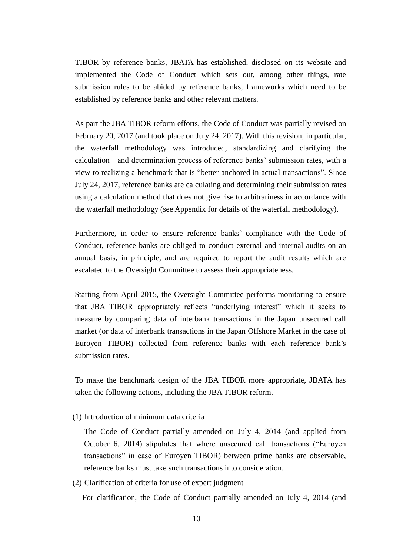TIBOR by reference banks, JBATA has established, disclosed on its website and implemented the Code of Conduct which sets out, among other things, rate submission rules to be abided by reference banks, frameworks which need to be established by reference banks and other relevant matters.

As part the JBA TIBOR reform efforts, the Code of Conduct was partially revised on February 20, 2017 (and took place on July 24, 2017). With this revision, in particular, the waterfall methodology was introduced, standardizing and clarifying the calculation and determination process of reference banks' submission rates, with a view to realizing a benchmark that is "better anchored in actual transactions". Since July 24, 2017, reference banks are calculating and determining their submission rates using a calculation method that does not give rise to arbitrariness in accordance with the waterfall methodology (see Appendix for details of the waterfall methodology).

Furthermore, in order to ensure reference banks' compliance with the Code of Conduct, reference banks are obliged to conduct external and internal audits on an annual basis, in principle, and are required to report the audit results which are escalated to the Oversight Committee to assess their appropriateness.

Starting from April 2015, the Oversight Committee performs monitoring to ensure that JBA TIBOR appropriately reflects "underlying interest" which it seeks to measure by comparing data of interbank transactions in the Japan unsecured call market (or data of interbank transactions in the Japan Offshore Market in the case of Euroyen TIBOR) collected from reference banks with each reference bank's submission rates.

To make the benchmark design of the JBA TIBOR more appropriate, JBATA has taken the following actions, including the JBA TIBOR reform.

(1) Introduction of minimum data criteria

The Code of Conduct partially amended on July 4, 2014 (and applied from October 6, 2014) stipulates that where unsecured call transactions ("Euroyen transactions" in case of Euroyen TIBOR) between prime banks are observable, reference banks must take such transactions into consideration.

(2) Clarification of criteria for use of expert judgment

For clarification, the Code of Conduct partially amended on July 4, 2014 (and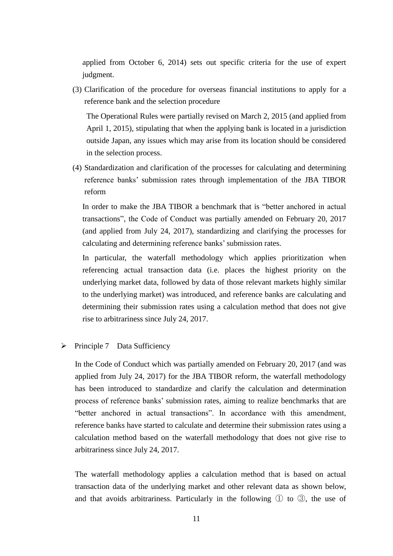applied from October 6, 2014) sets out specific criteria for the use of expert judgment.

(3) Clarification of the procedure for overseas financial institutions to apply for a reference bank and the selection procedure

The Operational Rules were partially revised on March 2, 2015 (and applied from April 1, 2015), stipulating that when the applying bank is located in a jurisdiction outside Japan, any issues which may arise from its location should be considered in the selection process.

(4) Standardization and clarification of the processes for calculating and determining reference banks' submission rates through implementation of the JBA TIBOR reform

In order to make the JBA TIBOR a benchmark that is "better anchored in actual transactions", the Code of Conduct was partially amended on February 20, 2017 (and applied from July 24, 2017), standardizing and clarifying the processes for calculating and determining reference banks' submission rates.

In particular, the waterfall methodology which applies prioritization when referencing actual transaction data (i.e. places the highest priority on the underlying market data, followed by data of those relevant markets highly similar to the underlying market) was introduced, and reference banks are calculating and determining their submission rates using a calculation method that does not give rise to arbitrariness since July 24, 2017.

#### Principle 7 Data Sufficiency

In the Code of Conduct which was partially amended on February 20, 2017 (and was applied from July 24, 2017) for the JBA TIBOR reform, the waterfall methodology has been introduced to standardize and clarify the calculation and determination process of reference banks' submission rates, aiming to realize benchmarks that are "better anchored in actual transactions". In accordance with this amendment, reference banks have started to calculate and determine their submission rates using a calculation method based on the waterfall methodology that does not give rise to arbitrariness since July 24, 2017.

The waterfall methodology applies a calculation method that is based on actual transaction data of the underlying market and other relevant data as shown below, and that avoids arbitrariness. Particularly in the following  $\mathbb D$  to  $\mathbb G$ , the use of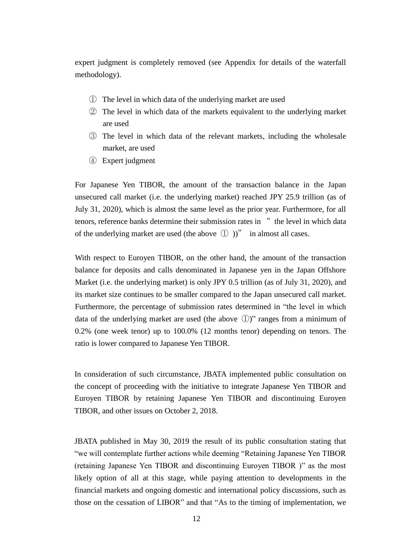expert judgment is completely removed (see Appendix for details of the waterfall methodology).

- ① The level in which data of the underlying market are used
- ② The level in which data of the markets equivalent to the underlying market are used
- ③ The level in which data of the relevant markets, including the wholesale market, are used
- ④ Expert judgment

For Japanese Yen TIBOR, the amount of the transaction balance in the Japan unsecured call market (i.e. the underlying market) reached JPY 25.9 trillion (as of July 31, 2020), which is almost the same level as the prior year. Furthermore, for all tenors, reference banks determine their submission rates in " the level in which data of the underlying market are used (the above  $\left(\begin{matrix} 1 \\ 1 \end{matrix}\right)$ )" in almost all cases.

With respect to Euroyen TIBOR, on the other hand, the amount of the transaction balance for deposits and calls denominated in Japanese yen in the Japan Offshore Market (i.e. the underlying market) is only JPY 0.5 trillion (as of July 31, 2020), and its market size continues to be smaller compared to the Japan unsecured call market. Furthermore, the percentage of submission rates determined in "the level in which data of the underlying market are used (the above ①)" ranges from a minimum of 0.2% (one week tenor) up to 100.0% (12 months tenor) depending on tenors. The ratio is lower compared to Japanese Yen TIBOR.

In consideration of such circumstance, JBATA implemented public consultation on the concept of proceeding with the initiative to integrate Japanese Yen TIBOR and Euroyen TIBOR by retaining Japanese Yen TIBOR and discontinuing Euroyen TIBOR, and other issues on October 2, 2018.

JBATA published in May 30, 2019 the result of its public consultation stating that "we will contemplate further actions while deeming "Retaining Japanese Yen TIBOR (retaining Japanese Yen TIBOR and discontinuing Euroyen TIBOR )" as the most likely option of all at this stage, while paying attention to developments in the financial markets and ongoing domestic and international policy discussions, such as those on the cessation of LIBOR" and that "As to the timing of implementation, we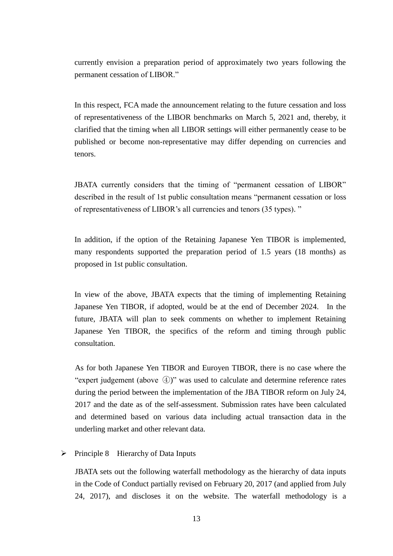currently envision a preparation period of approximately two years following the permanent cessation of LIBOR."

In this respect, FCA made the announcement relating to the future cessation and loss of representativeness of the LIBOR benchmarks on March 5, 2021 and, thereby, it clarified that the timing when all LIBOR settings will either permanently cease to be published or become non-representative may differ depending on currencies and tenors.

JBATA currently considers that the timing of "permanent cessation of LIBOR" described in the result of 1st public consultation means "permanent cessation or loss of representativeness of LIBOR's all currencies and tenors (35 types). "

In addition, if the option of the Retaining Japanese Yen TIBOR is implemented, many respondents supported the preparation period of 1.5 years (18 months) as proposed in 1st public consultation.

In view of the above, JBATA expects that the timing of implementing Retaining Japanese Yen TIBOR, if adopted, would be at the end of December 2024. In the future, JBATA will plan to seek comments on whether to implement Retaining Japanese Yen TIBOR, the specifics of the reform and timing through public consultation.

As for both Japanese Yen TIBOR and Euroyen TIBOR, there is no case where the "expert judgement (above  $(4)$ )" was used to calculate and determine reference rates during the period between the implementation of the JBA TIBOR reform on July 24, 2017 and the date as of the self-assessment. Submission rates have been calculated and determined based on various data including actual transaction data in the underling market and other relevant data.

#### $\triangleright$  Principle 8 Hierarchy of Data Inputs

JBATA sets out the following waterfall methodology as the hierarchy of data inputs in the Code of Conduct partially revised on February 20, 2017 (and applied from July 24, 2017), and discloses it on the website. The waterfall methodology is a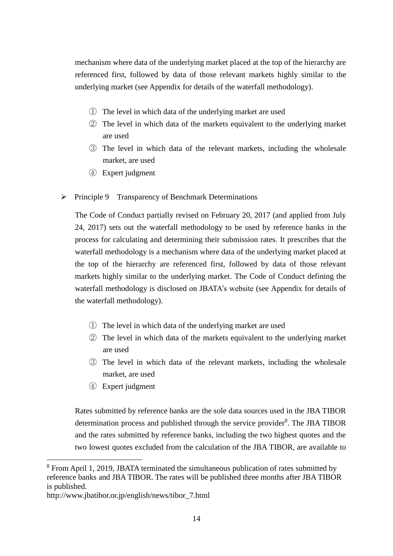mechanism where data of the underlying market placed at the top of the hierarchy are referenced first, followed by data of those relevant markets highly similar to the underlying market (see Appendix for details of the waterfall methodology).

- ① The level in which data of the underlying market are used
- ② The level in which data of the markets equivalent to the underlying market are used
- ③ The level in which data of the relevant markets, including the wholesale market, are used
- ④ Expert judgment
- $\triangleright$  Principle 9 Transparency of Benchmark Determinations

The Code of Conduct partially revised on February 20, 2017 (and applied from July 24, 2017) sets out the waterfall methodology to be used by reference banks in the process for calculating and determining their submission rates. It prescribes that the waterfall methodology is a mechanism where data of the underlying market placed at the top of the hierarchy are referenced first, followed by data of those relevant markets highly similar to the underlying market. The Code of Conduct defining the waterfall methodology is disclosed on JBATA's website (see Appendix for details of the waterfall methodology).

- ① The level in which data of the underlying market are used
- ② The level in which data of the markets equivalent to the underlying market are used
- ③ The level in which data of the relevant markets, including the wholesale market, are used
- ④ Expert judgment

Rates submitted by reference banks are the sole data sources used in the JBA TIBOR determination process and published through the service provider<sup>8</sup>. The JBA TIBOR and the rates submitted by reference banks, including the two highest quotes and the two lowest quotes excluded from the calculation of the JBA TIBOR, are available to

 $\overline{a}$ 

<sup>8</sup> From April 1, 2019, JBATA terminated the simultaneous publication of rates submitted by reference banks and JBA TIBOR. The rates will be published three months after JBA TIBOR is published.

http://www.jbatibor.or.jp/english/news/tibor\_7.html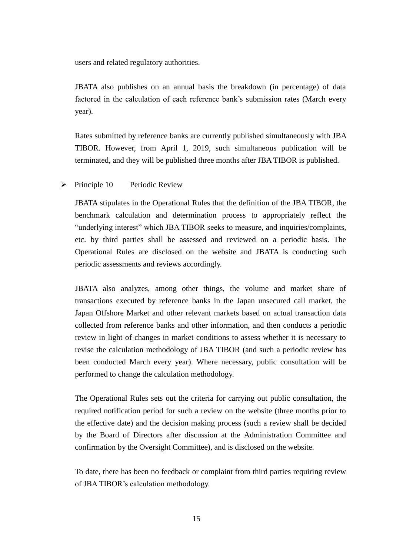users and related regulatory authorities.

JBATA also publishes on an annual basis the breakdown (in percentage) of data factored in the calculation of each reference bank's submission rates (March every year).

Rates submitted by reference banks are currently published simultaneously with JBA TIBOR. However, from April 1, 2019, such simultaneous publication will be terminated, and they will be published three months after JBA TIBOR is published.

### $\triangleright$  Principle 10 Periodic Review

JBATA stipulates in the Operational Rules that the definition of the JBA TIBOR, the benchmark calculation and determination process to appropriately reflect the "underlying interest" which JBA TIBOR seeks to measure, and inquiries/complaints, etc. by third parties shall be assessed and reviewed on a periodic basis. The Operational Rules are disclosed on the website and JBATA is conducting such periodic assessments and reviews accordingly.

JBATA also analyzes, among other things, the volume and market share of transactions executed by reference banks in the Japan unsecured call market, the Japan Offshore Market and other relevant markets based on actual transaction data collected from reference banks and other information, and then conducts a periodic review in light of changes in market conditions to assess whether it is necessary to revise the calculation methodology of JBA TIBOR (and such a periodic review has been conducted March every year). Where necessary, public consultation will be performed to change the calculation methodology.

The Operational Rules sets out the criteria for carrying out public consultation, the required notification period for such a review on the website (three months prior to the effective date) and the decision making process (such a review shall be decided by the Board of Directors after discussion at the Administration Committee and confirmation by the Oversight Committee), and is disclosed on the website.

To date, there has been no feedback or complaint from third parties requiring review of JBA TIBOR's calculation methodology.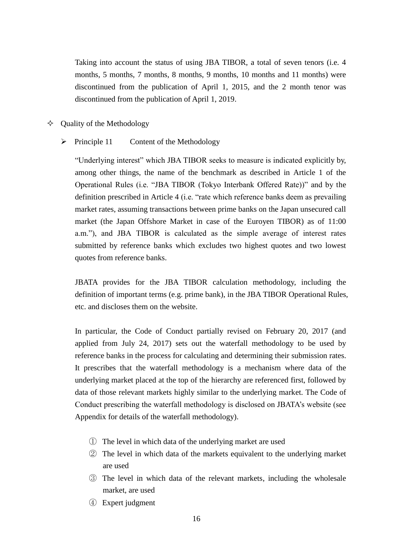Taking into account the status of using JBA TIBOR, a total of seven tenors (i.e. 4 months, 5 months, 7 months, 8 months, 9 months, 10 months and 11 months) were discontinued from the publication of April 1, 2015, and the 2 month tenor was discontinued from the publication of April 1, 2019.

- $\Diamond$  Quality of the Methodology
	- $\triangleright$  Principle 11 Content of the Methodology

"Underlying interest" which JBA TIBOR seeks to measure is indicated explicitly by, among other things, the name of the benchmark as described in Article 1 of the Operational Rules (i.e. "JBA TIBOR (Tokyo Interbank Offered Rate))" and by the definition prescribed in Article 4 (i.e. "rate which reference banks deem as prevailing market rates, assuming transactions between prime banks on the Japan unsecured call market (the Japan Offshore Market in case of the Euroyen TIBOR) as of 11:00 a.m."), and JBA TIBOR is calculated as the simple average of interest rates submitted by reference banks which excludes two highest quotes and two lowest quotes from reference banks.

JBATA provides for the JBA TIBOR calculation methodology, including the definition of important terms (e.g. prime bank), in the JBA TIBOR Operational Rules, etc. and discloses them on the website.

In particular, the Code of Conduct partially revised on February 20, 2017 (and applied from July 24, 2017) sets out the waterfall methodology to be used by reference banks in the process for calculating and determining their submission rates. It prescribes that the waterfall methodology is a mechanism where data of the underlying market placed at the top of the hierarchy are referenced first, followed by data of those relevant markets highly similar to the underlying market. The Code of Conduct prescribing the waterfall methodology is disclosed on JBATA's website (see Appendix for details of the waterfall methodology).

- ① The level in which data of the underlying market are used
- ② The level in which data of the markets equivalent to the underlying market are used
- ③ The level in which data of the relevant markets, including the wholesale market, are used
- ④ Expert judgment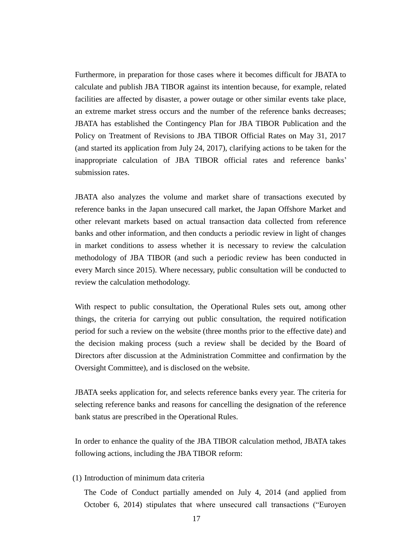Furthermore, in preparation for those cases where it becomes difficult for JBATA to calculate and publish JBA TIBOR against its intention because, for example, related facilities are affected by disaster, a power outage or other similar events take place, an extreme market stress occurs and the number of the reference banks decreases; JBATA has established the Contingency Plan for JBA TIBOR Publication and the Policy on Treatment of Revisions to JBA TIBOR Official Rates on May 31, 2017 (and started its application from July 24, 2017), clarifying actions to be taken for the inappropriate calculation of JBA TIBOR official rates and reference banks' submission rates.

JBATA also analyzes the volume and market share of transactions executed by reference banks in the Japan unsecured call market, the Japan Offshore Market and other relevant markets based on actual transaction data collected from reference banks and other information, and then conducts a periodic review in light of changes in market conditions to assess whether it is necessary to review the calculation methodology of JBA TIBOR (and such a periodic review has been conducted in every March since 2015). Where necessary, public consultation will be conducted to review the calculation methodology.

With respect to public consultation, the Operational Rules sets out, among other things, the criteria for carrying out public consultation, the required notification period for such a review on the website (three months prior to the effective date) and the decision making process (such a review shall be decided by the Board of Directors after discussion at the Administration Committee and confirmation by the Oversight Committee), and is disclosed on the website.

JBATA seeks application for, and selects reference banks every year. The criteria for selecting reference banks and reasons for cancelling the designation of the reference bank status are prescribed in the Operational Rules.

In order to enhance the quality of the JBA TIBOR calculation method, JBATA takes following actions, including the JBA TIBOR reform:

(1) Introduction of minimum data criteria

The Code of Conduct partially amended on July 4, 2014 (and applied from October 6, 2014) stipulates that where unsecured call transactions ("Euroyen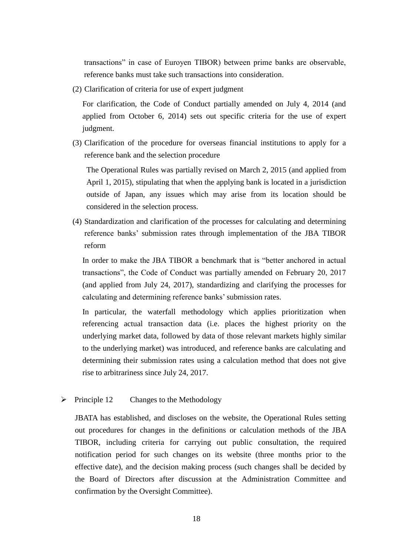transactions" in case of Euroyen TIBOR) between prime banks are observable, reference banks must take such transactions into consideration.

(2) Clarification of criteria for use of expert judgment

For clarification, the Code of Conduct partially amended on July 4, 2014 (and applied from October 6, 2014) sets out specific criteria for the use of expert judgment.

(3) Clarification of the procedure for overseas financial institutions to apply for a reference bank and the selection procedure

The Operational Rules was partially revised on March 2, 2015 (and applied from April 1, 2015), stipulating that when the applying bank is located in a jurisdiction outside of Japan, any issues which may arise from its location should be considered in the selection process.

(4) Standardization and clarification of the processes for calculating and determining reference banks' submission rates through implementation of the JBA TIBOR reform

In order to make the JBA TIBOR a benchmark that is "better anchored in actual transactions", the Code of Conduct was partially amended on February 20, 2017 (and applied from July 24, 2017), standardizing and clarifying the processes for calculating and determining reference banks' submission rates.

In particular, the waterfall methodology which applies prioritization when referencing actual transaction data (i.e. places the highest priority on the underlying market data, followed by data of those relevant markets highly similar to the underlying market) was introduced, and reference banks are calculating and determining their submission rates using a calculation method that does not give rise to arbitrariness since July 24, 2017.

 $\triangleright$  Principle 12 Changes to the Methodology

JBATA has established, and discloses on the website, the Operational Rules setting out procedures for changes in the definitions or calculation methods of the JBA TIBOR, including criteria for carrying out public consultation, the required notification period for such changes on its website (three months prior to the effective date), and the decision making process (such changes shall be decided by the Board of Directors after discussion at the Administration Committee and confirmation by the Oversight Committee).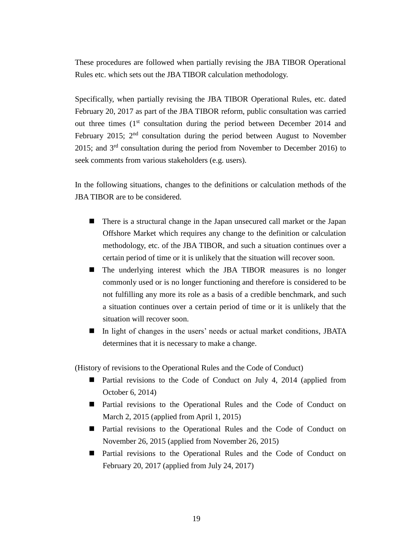These procedures are followed when partially revising the JBA TIBOR Operational Rules etc. which sets out the JBA TIBOR calculation methodology.

Specifically, when partially revising the JBA TIBOR Operational Rules, etc. dated February 20, 2017 as part of the JBA TIBOR reform, public consultation was carried out three times  $(1<sup>st</sup>$  consultation during the period between December 2014 and February 2015;  $2<sup>nd</sup>$  consultation during the period between August to November 2015; and  $3<sup>rd</sup>$  consultation during the period from November to December 2016) to seek comments from various stakeholders (e.g. users).

In the following situations, changes to the definitions or calculation methods of the JBA TIBOR are to be considered.

- There is a structural change in the Japan unsecured call market or the Japan Offshore Market which requires any change to the definition or calculation methodology, etc. of the JBA TIBOR, and such a situation continues over a certain period of time or it is unlikely that the situation will recover soon.
- The underlying interest which the JBA TIBOR measures is no longer commonly used or is no longer functioning and therefore is considered to be not fulfilling any more its role as a basis of a credible benchmark, and such a situation continues over a certain period of time or it is unlikely that the situation will recover soon.
- In light of changes in the users' needs or actual market conditions, JBATA determines that it is necessary to make a change.

(History of revisions to the Operational Rules and the Code of Conduct)

- Partial revisions to the Code of Conduct on July 4, 2014 (applied from October 6, 2014)
- Partial revisions to the Operational Rules and the Code of Conduct on March 2, 2015 (applied from April 1, 2015)
- Partial revisions to the Operational Rules and the Code of Conduct on November 26, 2015 (applied from November 26, 2015)
- Partial revisions to the Operational Rules and the Code of Conduct on February 20, 2017 (applied from July 24, 2017)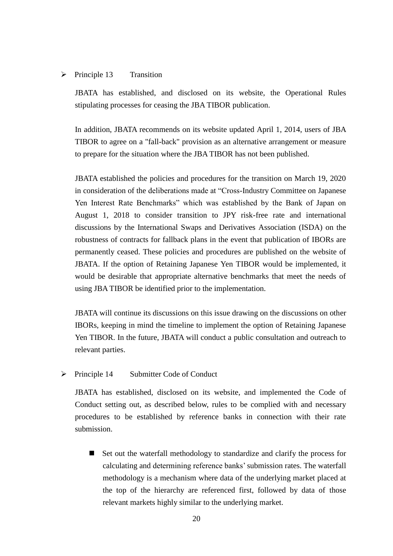#### $\triangleright$  Principle 13 Transition

JBATA has established, and disclosed on its website, the Operational Rules stipulating processes for ceasing the JBA TIBOR publication.

In addition, JBATA recommends on its website updated April 1, 2014, users of JBA TIBOR to agree on a "fall-back" provision as an alternative arrangement or measure to prepare for the situation where the JBA TIBOR has not been published.

JBATA established the policies and procedures for the transition on March 19, 2020 in consideration of the deliberations made at "Cross-Industry Committee on Japanese Yen Interest Rate Benchmarks" which was established by the Bank of Japan on August 1, 2018 to consider transition to JPY risk-free rate and international discussions by the International Swaps and Derivatives Association (ISDA) on the robustness of contracts for fallback plans in the event that publication of IBORs are permanently ceased. These policies and procedures are published on the website of JBATA. If the option of Retaining Japanese Yen TIBOR would be implemented, it would be desirable that appropriate alternative benchmarks that meet the needs of using JBA TIBOR be identified prior to the implementation.

JBATA will continue its discussions on this issue drawing on the discussions on other IBORs, keeping in mind the timeline to implement the option of Retaining Japanese Yen TIBOR. In the future, JBATA will conduct a public consultation and outreach to relevant parties.

 $\triangleright$  Principle 14 Submitter Code of Conduct

JBATA has established, disclosed on its website, and implemented the Code of Conduct setting out, as described below, rules to be complied with and necessary procedures to be established by reference banks in connection with their rate submission.

Set out the waterfall methodology to standardize and clarify the process for calculating and determining reference banks' submission rates. The waterfall methodology is a mechanism where data of the underlying market placed at the top of the hierarchy are referenced first, followed by data of those relevant markets highly similar to the underlying market.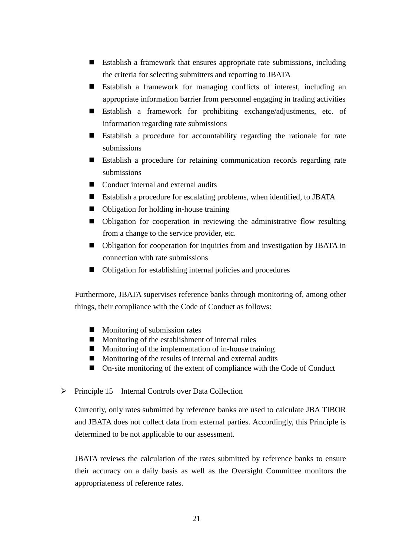- Establish a framework that ensures appropriate rate submissions, including the criteria for selecting submitters and reporting to JBATA
- Establish a framework for managing conflicts of interest, including an appropriate information barrier from personnel engaging in trading activities
- Establish a framework for prohibiting exchange/adjustments, etc. of information regarding rate submissions
- Establish a procedure for accountability regarding the rationale for rate submissions
- Establish a procedure for retaining communication records regarding rate submissions
- Conduct internal and external audits
- Establish a procedure for escalating problems, when identified, to JBATA
- Obligation for holding in-house training
- Obligation for cooperation in reviewing the administrative flow resulting from a change to the service provider, etc.
- Obligation for cooperation for inquiries from and investigation by JBATA in connection with rate submissions
- Obligation for establishing internal policies and procedures

Furthermore, JBATA supervises reference banks through monitoring of, among other things, their compliance with the Code of Conduct as follows:

- $\blacksquare$  Monitoring of submission rates
- $\blacksquare$  Monitoring of the establishment of internal rules
- $\blacksquare$  Monitoring of the implementation of in-house training
- $\blacksquare$  Monitoring of the results of internal and external audits
- On-site monitoring of the extent of compliance with the Code of Conduct
- $\triangleright$  Principle 15 Internal Controls over Data Collection

Currently, only rates submitted by reference banks are used to calculate JBA TIBOR and JBATA does not collect data from external parties. Accordingly, this Principle is determined to be not applicable to our assessment.

JBATA reviews the calculation of the rates submitted by reference banks to ensure their accuracy on a daily basis as well as the Oversight Committee monitors the appropriateness of reference rates.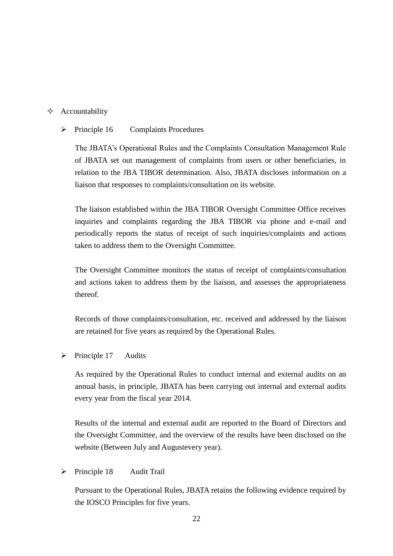## $\triangle$  Accountability

## $\triangleright$  Principle 16 Complaints Procedures

The JBATA's Operational Rules and the Complaints Consultation Management Rule of JBATA set out management of complaints from users or other beneficiaries, in relation to the JBA TIBOR determination. Also, JBATA discloses information on a liaison that responses to complaints/consultation on its website.

The liaison established within the JBA TIBOR Oversight Committee Office receives inquiries and complaints regarding the JBA TIBOR via phone and e-mail and periodically reports the status of receipt of such inquiries/complaints and actions taken to address them to the Oversight Committee.

The Oversight Committee monitors the status of receipt of complaints/consultation and actions taken to address them by the liaison, and assesses the appropriateness thereof.

Records of those complaints/consultation, etc. received and addressed by the liaison are retained for five years as required by the Operational Rules.

 $\triangleright$  Principle 17 Audits

As required by the Operational Rules to conduct internal and external audits on an annual basis, in principle, JBATA has been carrying out internal and external audits every year from the fiscal year 2014.

Results of the internal and external audit are reported to the Board of Directors and the Oversight Committee, and the overview of the results have been disclosed on the website (Between July and Augustevery year).

> Principle 18 Audit Trail

Pursuant to the Operational Rules, JBATA retains the following evidence required by the IOSCO Principles for five years.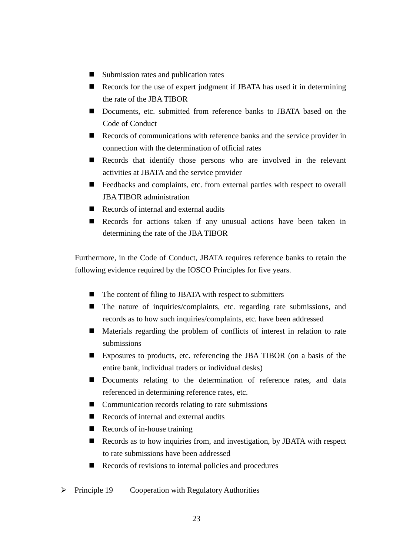- Submission rates and publication rates
- Records for the use of expert judgment if JBATA has used it in determining the rate of the JBA TIBOR
- Documents, etc. submitted from reference banks to JBATA based on the Code of Conduct
- Records of communications with reference banks and the service provider in connection with the determination of official rates
- Records that identify those persons who are involved in the relevant activities at JBATA and the service provider
- Feedbacks and complaints, etc. from external parties with respect to overall JBA TIBOR administration
- Records of internal and external audits
- Records for actions taken if any unusual actions have been taken in determining the rate of the JBA TIBOR

Furthermore, in the Code of Conduct, JBATA requires reference banks to retain the following evidence required by the IOSCO Principles for five years.

- $\blacksquare$  The content of filing to JBATA with respect to submitters
- The nature of inquiries/complaints, etc. regarding rate submissions, and records as to how such inquiries/complaints, etc. have been addressed
- Materials regarding the problem of conflicts of interest in relation to rate submissions
- Exposures to products, etc. referencing the JBA TIBOR (on a basis of the entire bank, individual traders or individual desks)
- Documents relating to the determination of reference rates, and data referenced in determining reference rates, etc.
- Communication records relating to rate submissions
- Records of internal and external audits
- $\blacksquare$  Records of in-house training
- Records as to how inquiries from, and investigation, by JBATA with respect to rate submissions have been addressed
- Records of revisions to internal policies and procedures
- Principle 19 Cooperation with Regulatory Authorities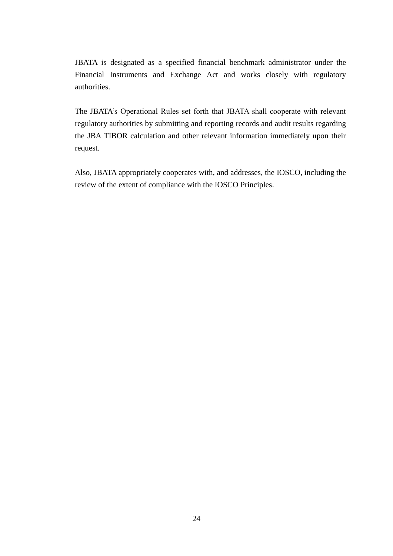JBATA is designated as a specified financial benchmark administrator under the Financial Instruments and Exchange Act and works closely with regulatory authorities.

The JBATA's Operational Rules set forth that JBATA shall cooperate with relevant regulatory authorities by submitting and reporting records and audit results regarding the JBA TIBOR calculation and other relevant information immediately upon their request.

Also, JBATA appropriately cooperates with, and addresses, the IOSCO, including the review of the extent of compliance with the IOSCO Principles.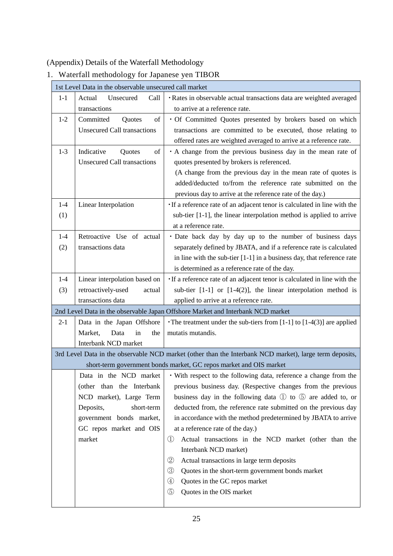(Appendix) Details of the Waterfall Methodology

| wateriall methodology for Japanese yen TIBOR                                    |                                    |                                                                                                         |  |  |
|---------------------------------------------------------------------------------|------------------------------------|---------------------------------------------------------------------------------------------------------|--|--|
| 1st Level Data in the observable unsecured call market                          |                                    |                                                                                                         |  |  |
| $1-1$                                                                           | Unsecured<br>Call<br>Actual        | · Rates in observable actual transactions data are weighted averaged                                    |  |  |
|                                                                                 | transactions                       | to arrive at a reference rate.                                                                          |  |  |
| $1 - 2$                                                                         | Committed<br>of<br>Quotes          | · Of Committed Quotes presented by brokers based on which                                               |  |  |
|                                                                                 | <b>Unsecured Call transactions</b> | transactions are committed to be executed, those relating to                                            |  |  |
|                                                                                 |                                    | offered rates are weighted averaged to arrive at a reference rate.                                      |  |  |
| $1 - 3$                                                                         | Indicative<br>of<br>Quotes         | A change from the previous business day in the mean rate of                                             |  |  |
|                                                                                 | <b>Unsecured Call transactions</b> | quotes presented by brokers is referenced.                                                              |  |  |
|                                                                                 |                                    | (A change from the previous day in the mean rate of quotes is                                           |  |  |
|                                                                                 |                                    | added/deducted to/from the reference rate submitted on the                                              |  |  |
|                                                                                 |                                    | previous day to arrive at the reference rate of the day.)                                               |  |  |
| $1-4$                                                                           | Linear Interpolation               | · If a reference rate of an adjacent tenor is calculated in line with the                               |  |  |
| (1)                                                                             |                                    | sub-tier [1-1], the linear interpolation method is applied to arrive                                    |  |  |
|                                                                                 |                                    | at a reference rate.                                                                                    |  |  |
| $1-4$                                                                           | Retroactive Use of actual          | · Date back day by day up to the number of business days                                                |  |  |
| (2)                                                                             | transactions data                  | separately defined by JBATA, and if a reference rate is calculated                                      |  |  |
|                                                                                 |                                    | in line with the sub-tier [1-1] in a business day, that reference rate                                  |  |  |
|                                                                                 |                                    | is determined as a reference rate of the day.                                                           |  |  |
| $1-4$                                                                           | Linear interpolation based on      | · If a reference rate of an adjacent tenor is calculated in line with the                               |  |  |
| (3)                                                                             | retroactively-used<br>actual       | sub-tier $[1-1]$ or $[1-4(2)]$ , the linear interpolation method is                                     |  |  |
|                                                                                 | transactions data                  | applied to arrive at a reference rate.                                                                  |  |  |
| 2nd Level Data in the observable Japan Offshore Market and Interbank NCD market |                                    |                                                                                                         |  |  |
| $2 - 1$                                                                         | Data in the Japan Offshore         | The treatment under the sub-tiers from $[1-1]$ to $[1-4(3)]$ are applied                                |  |  |
|                                                                                 | Market,<br>Data<br>in<br>the       | mutatis mutandis.                                                                                       |  |  |
|                                                                                 | Interbank NCD market               |                                                                                                         |  |  |
|                                                                                 |                                    | 3rd Level Data in the observable NCD market (other than the Interbank NCD market), large term deposits, |  |  |
|                                                                                 |                                    | short-term government bonds market, GC repos market and OIS market                                      |  |  |
|                                                                                 | Data in the NCD market             | · With respect to the following data, reference a change from the                                       |  |  |
|                                                                                 | (other than the Interbank          | previous business day. (Respective changes from the previous                                            |  |  |
|                                                                                 | NCD market), Large Term            | business day in the following data ① to 5 are added to, or                                              |  |  |
|                                                                                 | short-term<br>Deposits,            | deducted from, the reference rate submitted on the previous day                                         |  |  |
|                                                                                 | government bonds market,           | in accordance with the method predetermined by JBATA to arrive                                          |  |  |
|                                                                                 | GC repos market and OIS            | at a reference rate of the day.)                                                                        |  |  |
|                                                                                 | market                             | Actual transactions in the NCD market (other than the<br>$\bigcirc$                                     |  |  |
|                                                                                 |                                    | Interbank NCD market)                                                                                   |  |  |

1. Waterfall methodology for Japanese yen TIBOR

- ② Actual transactions in large term deposits
- ③ Quotes in the short-term government bonds market
- ④ Quotes in the GC repos market
- ⑤ Quotes in the OIS market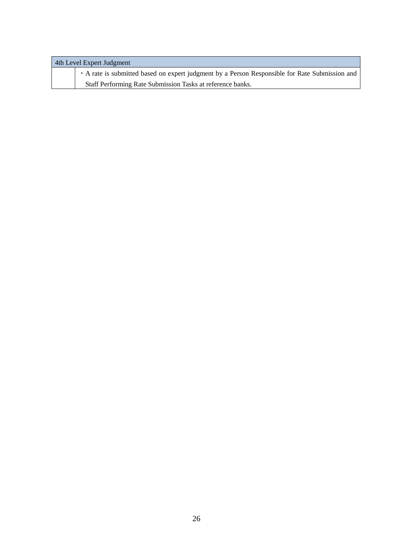| 4th Level Expert Judgment |                                                                                              |  |  |
|---------------------------|----------------------------------------------------------------------------------------------|--|--|
|                           | A rate is submitted based on expert judgment by a Person Responsible for Rate Submission and |  |  |
|                           | Staff Performing Rate Submission Tasks at reference banks.                                   |  |  |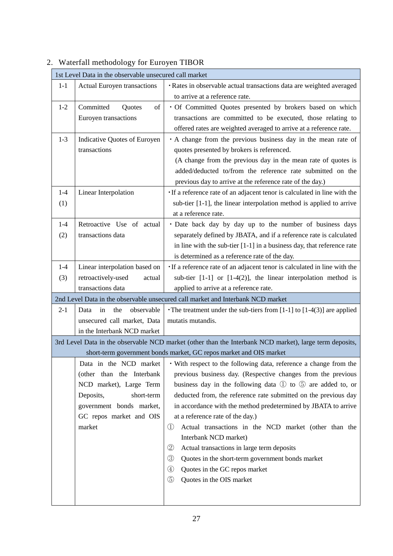| 1st Level Data in the observable unsecured call market |                                    |                                                                                                             |  |  |
|--------------------------------------------------------|------------------------------------|-------------------------------------------------------------------------------------------------------------|--|--|
| $1-1$                                                  | <b>Actual Euroyen transactions</b> | · Rates in observable actual transactions data are weighted averaged                                        |  |  |
|                                                        |                                    | to arrive at a reference rate.                                                                              |  |  |
| $1 - 2$                                                | Committed<br>of<br><b>Ouotes</b>   | · Of Committed Quotes presented by brokers based on which                                                   |  |  |
|                                                        | Euroyen transactions               | transactions are committed to be executed, those relating to                                                |  |  |
|                                                        |                                    | offered rates are weighted averaged to arrive at a reference rate.                                          |  |  |
| $1 - 3$                                                | Indicative Quotes of Euroyen       | A change from the previous business day in the mean rate of                                                 |  |  |
|                                                        | transactions                       | quotes presented by brokers is referenced.                                                                  |  |  |
|                                                        |                                    | (A change from the previous day in the mean rate of quotes is                                               |  |  |
|                                                        |                                    | added/deducted to/from the reference rate submitted on the                                                  |  |  |
|                                                        |                                    | previous day to arrive at the reference rate of the day.)                                                   |  |  |
| $1-4$                                                  | Linear Interpolation               | If a reference rate of an adjacent tenor is calculated in line with the                                     |  |  |
| (1)                                                    |                                    | sub-tier [1-1], the linear interpolation method is applied to arrive                                        |  |  |
|                                                        |                                    | at a reference rate.                                                                                        |  |  |
| $1-4$                                                  | Retroactive Use of actual          | · Date back day by day up to the number of business days                                                    |  |  |
| (2)                                                    | transactions data                  | separately defined by JBATA, and if a reference rate is calculated                                          |  |  |
|                                                        |                                    | in line with the sub-tier $[1-1]$ in a business day, that reference rate                                    |  |  |
|                                                        |                                    | is determined as a reference rate of the day.                                                               |  |  |
| $1-4$                                                  | Linear interpolation based on      | · If a reference rate of an adjacent tenor is calculated in line with the                                   |  |  |
| (3)                                                    | retroactively-used<br>actual       | sub-tier $[1-1]$ or $[1-4(2)]$ , the linear interpolation method is                                         |  |  |
|                                                        | transactions data                  | applied to arrive at a reference rate.                                                                      |  |  |
|                                                        |                                    | 2nd Level Data in the observable unsecured call market and Interbank NCD market                             |  |  |
| $2 - 1$                                                | observable<br>the<br>Data<br>in    | The treatment under the sub-tiers from $[1-1]$ to $[1-4(3)]$ are applied                                    |  |  |
|                                                        | unsecured call market, Data        | mutatis mutandis.                                                                                           |  |  |
|                                                        | in the Interbank NCD market        |                                                                                                             |  |  |
|                                                        |                                    | 3rd Level Data in the observable NCD market (other than the Interbank NCD market), large term deposits,     |  |  |
|                                                        |                                    | short-term government bonds market, GC repos market and OIS market                                          |  |  |
|                                                        |                                    | Data in the NCD market $\cdot$ With respect to the following data, reference a change from the              |  |  |
|                                                        | (other than the Interbank          | previous business day. (Respective changes from the previous                                                |  |  |
|                                                        | NCD market), Large Term            | business day in the following data $\mathbb D$ to $\mathbb S$ are added to, or                              |  |  |
|                                                        | Deposits,<br>short-term            | deducted from, the reference rate submitted on the previous day                                             |  |  |
|                                                        | government bonds market,           | in accordance with the method predetermined by JBATA to arrive                                              |  |  |
|                                                        | GC repos market and OIS            | at a reference rate of the day.)                                                                            |  |  |
|                                                        | market                             | Actual transactions in the NCD market (other than the<br>$\cup$                                             |  |  |
|                                                        |                                    | Interbank NCD market)<br>$^{\small{\textcircled{\small{2}}}}$<br>Actual transactions in large term deposits |  |  |
|                                                        |                                    | ③<br>Quotes in the short-term government bonds market                                                       |  |  |
|                                                        |                                    | $^{\small{\textcircled{\footnotesize{1}}}}$<br>Quotes in the GC repos market                                |  |  |
|                                                        |                                    | (5)<br>Quotes in the OIS market                                                                             |  |  |
|                                                        |                                    |                                                                                                             |  |  |
|                                                        |                                    |                                                                                                             |  |  |

# 2. Waterfall methodology for Euroyen TIBOR